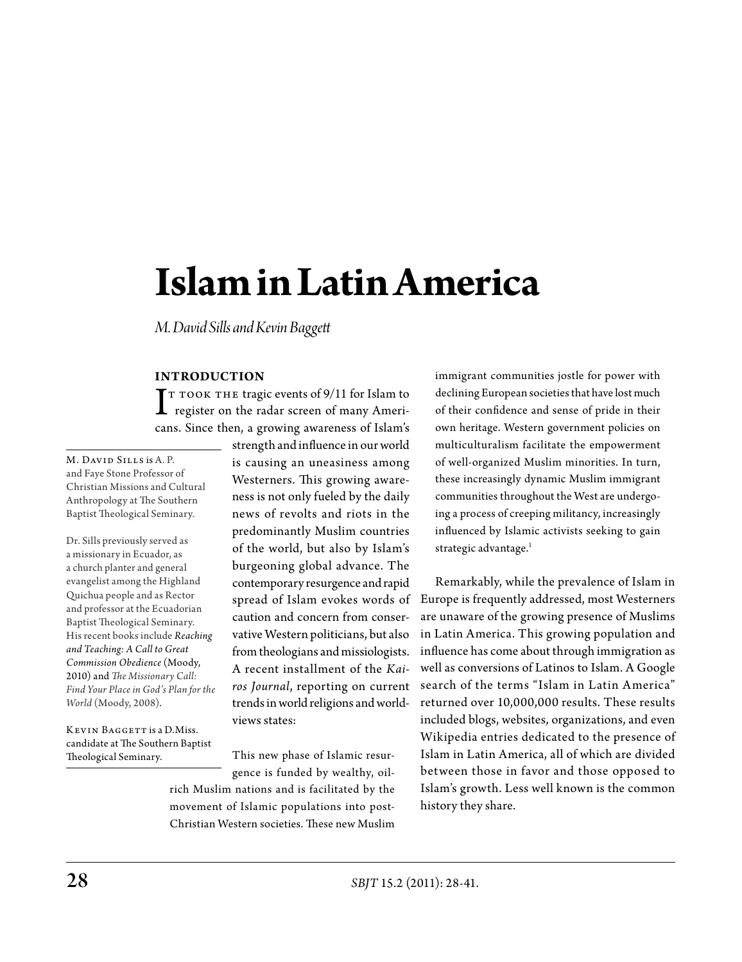# **Islam in Latin America**

*M. David Sills and Kevin Baggett*

# **Introduction**

 $\int$ T TOOK THE tragic events of 9/11 for Islam to<br>register on the radar screen of many Ameriregister on the radar screen of many Americans. Since then, a growing awareness of Islam's

M. DAVID SILLS is A. P. and Faye Stone Professor of Christian Missions and Cultural Anthropology at The Southern Baptist Theological Seminary.

Dr. Sills previously served as a missionary in Ecuador, as a church planter and general evangelist among the Highland Quichua people and as Rector and professor at the Ecuadorian Baptist Theological Seminary. His recent books include *Reaching and Teaching: A Call to Great Commission Obedience* (Moody, 2010) and *The Missionary Call: Find Your Place in God's Plan for the World* (Moody, 2008).

KEVIN BAGGETT is a D.Miss. candidate at The Southern Baptist Theological Seminary.

strength and influence in our world is causing an uneasiness among Westerners. This growing awareness is not only fueled by the daily news of revolts and riots in the predominantly Muslim countries of the world, but also by Islam's burgeoning global advance. The contemporary resurgence and rapid spread of Islam evokes words of caution and concern from conservative Western politicians, but also from theologians and missiologists. A recent installment of the *Kairos Journal*, reporting on current trends in world religions and worldviews states:

This new phase of Islamic resurgence is funded by wealthy, oil-

rich Muslim nations and is facilitated by the movement of Islamic populations into post-Christian Western societies. These new Muslim immigrant communities jostle for power with declining European societies that have lost much of their confidence and sense of pride in their own heritage. Western government policies on multiculturalism facilitate the empowerment of well-organized Muslim minorities. In turn, these increasingly dynamic Muslim immigrant communities throughout the West are undergoing a process of creeping militancy, increasingly influenced by Islamic activists seeking to gain strategic advantage.<sup>1</sup>

Remarkably, while the prevalence of Islam in Europe is frequently addressed, most Westerners are unaware of the growing presence of Muslims in Latin America. This growing population and influence has come about through immigration as well as conversions of Latinos to Islam. A Google search of the terms "Islam in Latin America" returned over 10,000,000 results. These results included blogs, websites, organizations, and even Wikipedia entries dedicated to the presence of Islam in Latin America, all of which are divided between those in favor and those opposed to Islam's growth. Less well known is the common history they share.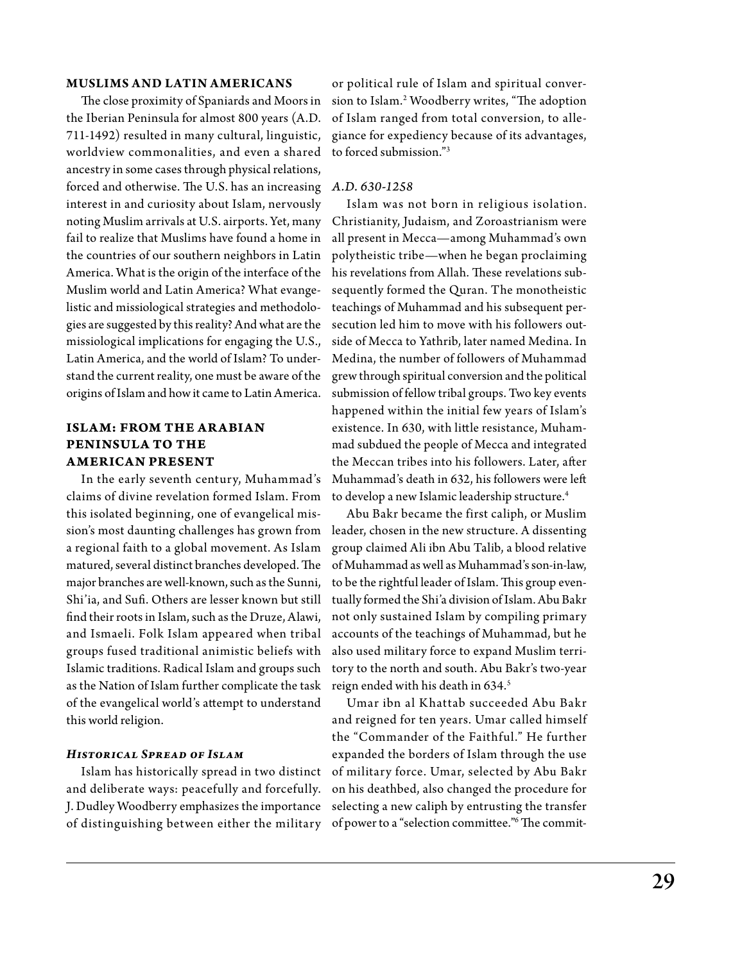# **Muslims and Latin Americans**

The close proximity of Spaniards and Moors in the Iberian Peninsula for almost 800 years (A.D. 711-1492) resulted in many cultural, linguistic, worldview commonalities, and even a shared ancestry in some cases through physical relations, forced and otherwise. The U.S. has an increasing *A.D. 630-1258*  interest in and curiosity about Islam, nervously noting Muslim arrivals at U.S. airports. Yet, many fail to realize that Muslims have found a home in the countries of our southern neighbors in Latin America. What is the origin of the interface of the Muslim world and Latin America? What evangelistic and missiological strategies and methodologies are suggested by this reality? And what are the missiological implications for engaging the U.S., Latin America, and the world of Islam? To understand the current reality, one must be aware of the origins of Islam and how it came to Latin America.

# **Islam: From the Ar abian Peninsula to the American Present**

In the early seventh century, Muhammad's claims of divine revelation formed Islam. From this isolated beginning, one of evangelical misa regional faith to a global movement. As Islam matured, several distinct branches developed. The major branches are well-known, such as the Sunni, Shi'ia, and Sufi. Others are lesser known but still find their roots in Islam, such as the Druze, Alawi, and Ismaeli. Folk Islam appeared when tribal groups fused traditional animistic beliefs with Islamic traditions. Radical Islam and groups such as the Nation of Islam further complicate the task of the evangelical world's attempt to understand this world religion.

# *Historical Spread of Islam*

Islam has historically spread in two distinct and deliberate ways: peacefully and forcefully. J. Dudley Woodberry emphasizes the importance of distinguishing between either the military

or political rule of Islam and spiritual conversion to Islam.2 Woodberry writes, "The adoption of Islam ranged from total conversion, to allegiance for expediency because of its advantages, to forced submission."3

Islam was not born in religious isolation. Christianity, Judaism, and Zoroastrianism were all present in Mecca—among Muhammad's own polytheistic tribe—when he began proclaiming his revelations from Allah. These revelations subsequently formed the Quran. The monotheistic teachings of Muhammad and his subsequent persecution led him to move with his followers outside of Mecca to Yathrib, later named Medina. In Medina, the number of followers of Muhammad grew through spiritual conversion and the political submission of fellow tribal groups. Two key events happened within the initial few years of Islam's existence. In 630, with little resistance, Muhammad subdued the people of Mecca and integrated the Meccan tribes into his followers. Later, after Muhammad's death in 632, his followers were left to develop a new Islamic leadership structure.<sup>4</sup>

sion's most daunting challenges has grown from leader, chosen in the new structure. A dissenting Abu Bakr became the first caliph, or Muslim group claimed Ali ibn Abu Talib, a blood relative of Muhammad as well as Muhammad's son-in-law, to be the rightful leader of Islam. This group eventually formed the Shi'a division of Islam. Abu Bakr not only sustained Islam by compiling primary accounts of the teachings of Muhammad, but he also used military force to expand Muslim territory to the north and south. Abu Bakr's two-year reign ended with his death in 634.<sup>5</sup>

> Umar ibn al Khattab succeeded Abu Bakr and reigned for ten years. Umar called himself the "Commander of the Faithful." He further expanded the borders of Islam through the use of military force. Umar, selected by Abu Bakr on his deathbed, also changed the procedure for selecting a new caliph by entrusting the transfer of power to a "selection committee."6 The commit-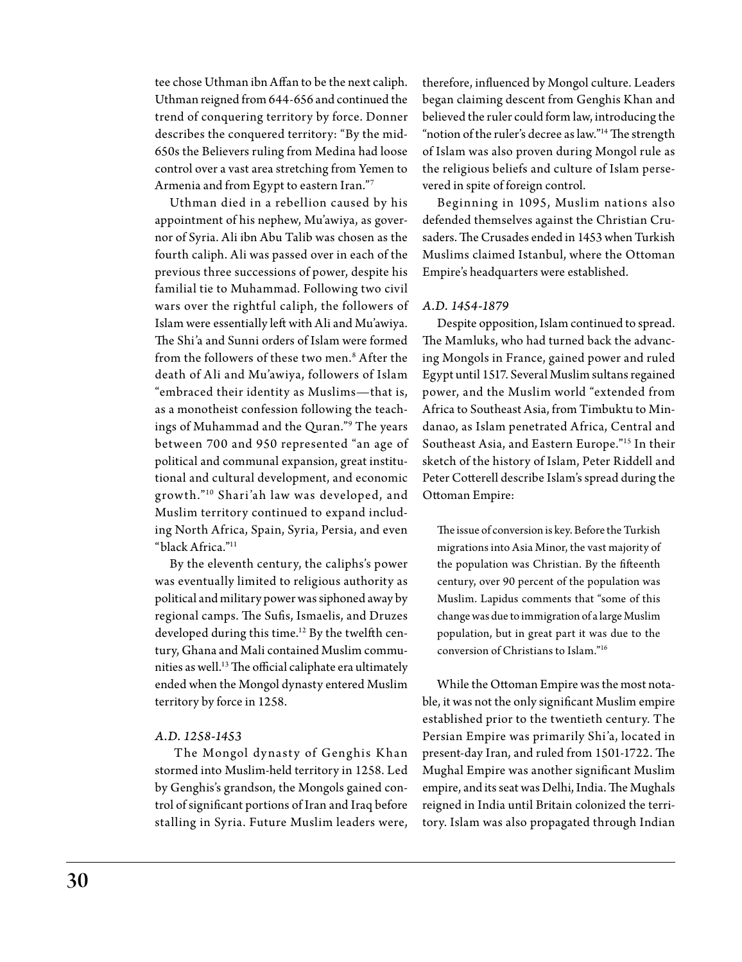tee chose Uthman ibn Affan to be the next caliph. Uthman reigned from 644-656 and continued the trend of conquering territory by force. Donner describes the conquered territory: "By the mid-650s the Believers ruling from Medina had loose control over a vast area stretching from Yemen to Armenia and from Egypt to eastern Iran."7

Uthman died in a rebellion caused by his appointment of his nephew, Mu'awiya, as governor of Syria. Ali ibn Abu Talib was chosen as the fourth caliph. Ali was passed over in each of the previous three successions of power, despite his familial tie to Muhammad. Following two civil wars over the rightful caliph, the followers of Islam were essentially left with Ali and Mu'awiya. The Shi'a and Sunni orders of Islam were formed from the followers of these two men.8 After the death of Ali and Mu'awiya, followers of Islam "embraced their identity as Muslims—that is, as a monotheist confession following the teachings of Muhammad and the Quran."9 The years between 700 and 950 represented "an age of political and communal expansion, great institutional and cultural development, and economic grow th."10 Shari 'ah law was developed, and Muslim territory continued to expand including North Africa, Spain, Syria, Persia, and even "black Africa."11

By the eleventh century, the caliphs's power was eventually limited to religious authority as political and military power was siphoned away by regional camps. The Sufis, Ismaelis, and Druzes developed during this time.<sup>12</sup> By the twelfth century, Ghana and Mali contained Muslim communities as well.<sup>13</sup> The official caliphate era ultimately ended when the Mongol dynasty entered Muslim territory by force in 1258.

# *A.D. 1258-1453*

The Mongol dynasty of Genghis Khan stormed into Muslim-held territory in 1258. Led by Genghis's grandson, the Mongols gained control of significant portions of Iran and Iraq before stalling in Syria. Future Muslim leaders were,

therefore, influenced by Mongol culture. Leaders began claiming descent from Genghis Khan and believed the ruler could form law, introducing the "notion of the ruler's decree as law."<sup>14</sup> The strength of Islam was also proven during Mongol rule as the religious beliefs and culture of Islam persevered in spite of foreign control.

Beginning in 1095, Muslim nations also defended themselves against the Christian Crusaders. The Crusades ended in 1453 when Turkish Muslims claimed Istanbul, where the Ottoman Empire's headquarters were established.

### *A.D. 1454-1879*

Despite opposition, Islam continued to spread. The Mamluks, who had turned back the advancing Mongols in France, gained power and ruled Egypt until 1517. Several Muslim sultans regained power, and the Muslim world "extended from Africa to Southeast Asia, from Timbuktu to Mindanao, as Islam penetrated Africa, Central and Southeast Asia, and Eastern Europe."15 In their sketch of the history of Islam, Peter Riddell and Peter Cotterell describe Islam's spread during the Ottoman Empire:

The issue of conversion is key. Before the Turkish migrations into Asia Minor, the vast majority of the population was Christian. By the fifteenth century, over 90 percent of the population was Muslim. Lapidus comments that "some of this change was due to immigration of a large Muslim population, but in great part it was due to the conversion of Christians to Islam."16

While the Ottoman Empire was the most notable, it was not the only significant Muslim empire established prior to the twentieth century. The Persian Empire was primarily Shi'a, located in present-day Iran, and ruled from 1501-1722. The Mughal Empire was another significant Muslim empire, and its seat was Delhi, India. The Mughals reigned in India until Britain colonized the territory. Islam was also propagated through Indian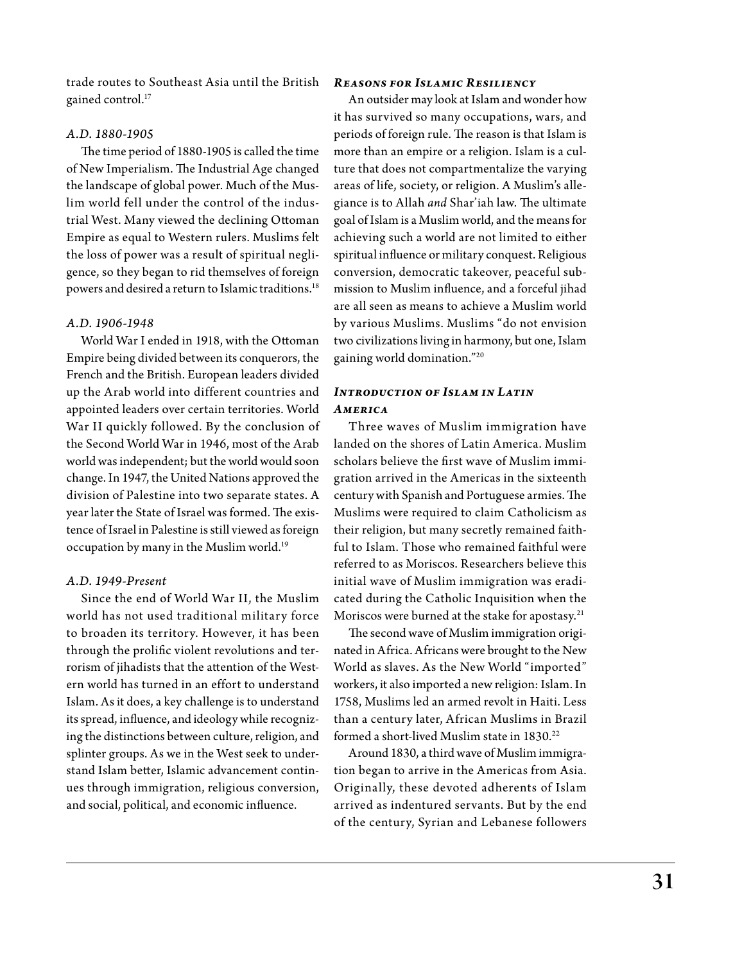trade routes to Southeast Asia until the British gained control.<sup>17</sup>

### *A.D. 1880-1905*

The time period of 1880-1905 is called the time of New Imperialism. The Industrial Age changed the landscape of global power. Much of the Muslim world fell under the control of the industrial West. Many viewed the declining Ottoman Empire as equal to Western rulers. Muslims felt the loss of power was a result of spiritual negligence, so they began to rid themselves of foreign powers and desired a return to Islamic traditions.<sup>18</sup>

# *A.D. 1906-1948*

World War I ended in 1918, with the Ottoman Empire being divided between its conquerors, the French and the British. European leaders divided up the Arab world into different countries and appointed leaders over certain territories. World War II quickly followed. By the conclusion of the Second World War in 1946, most of the Arab world was independent; but the world would soon change. In 1947, the United Nations approved the division of Palestine into two separate states. A year later the State of Israel was formed. The existence of Israel in Palestine is still viewed as foreign occupation by many in the Muslim world.<sup>19</sup>

# *A.D. 1949-Present*

Since the end of World War II, the Muslim world has not used traditional military force to broaden its territory. However, it has been through the prolific violent revolutions and terrorism of jihadists that the attention of the Western world has turned in an effort to understand Islam. As it does, a key challenge is to understand its spread, influence, and ideology while recognizing the distinctions between culture, religion, and splinter groups. As we in the West seek to understand Islam better, Islamic advancement continues through immigration, religious conversion, and social, political, and economic influence.

#### *Reasons for Islamic Resiliency*

An outsider may look at Islam and wonder how it has survived so many occupations, wars, and periods of foreign rule. The reason is that Islam is more than an empire or a religion. Islam is a culture that does not compartmentalize the varying areas of life, society, or religion. A Muslim's allegiance is to Allah *and* Shar'iah law. The ultimate goal of Islam is a Muslim world, and the means for achieving such a world are not limited to either spiritual influence or military conquest. Religious conversion, democratic takeover, peaceful submission to Muslim influence, and a forceful jihad are all seen as means to achieve a Muslim world by various Muslims. Muslims "do not envision two civilizations living in harmony, but one, Islam gaining world domination."20

# *Introduction of Islam in Latin America*

Three waves of Muslim immigration have landed on the shores of Latin America. Muslim scholars believe the first wave of Muslim immigration arrived in the Americas in the sixteenth century with Spanish and Portuguese armies. The Muslims were required to claim Catholicism as their religion, but many secretly remained faithful to Islam. Those who remained faithful were referred to as Moriscos. Researchers believe this initial wave of Muslim immigration was eradicated during the Catholic Inquisition when the Moriscos were burned at the stake for apostasy.<sup>21</sup>

The second wave of Muslim immigration originated in Africa. Africans were brought to the New World as slaves. As the New World "imported" workers, it also imported a new religion: Islam. In 1758, Muslims led an armed revolt in Haiti. Less than a century later, African Muslims in Brazil formed a short-lived Muslim state in 1830.<sup>22</sup>

Around 1830, a third wave of Muslim immigration began to arrive in the Americas from Asia. Originally, these devoted adherents of Islam arrived as indentured servants. But by the end of the century, Syrian and Lebanese followers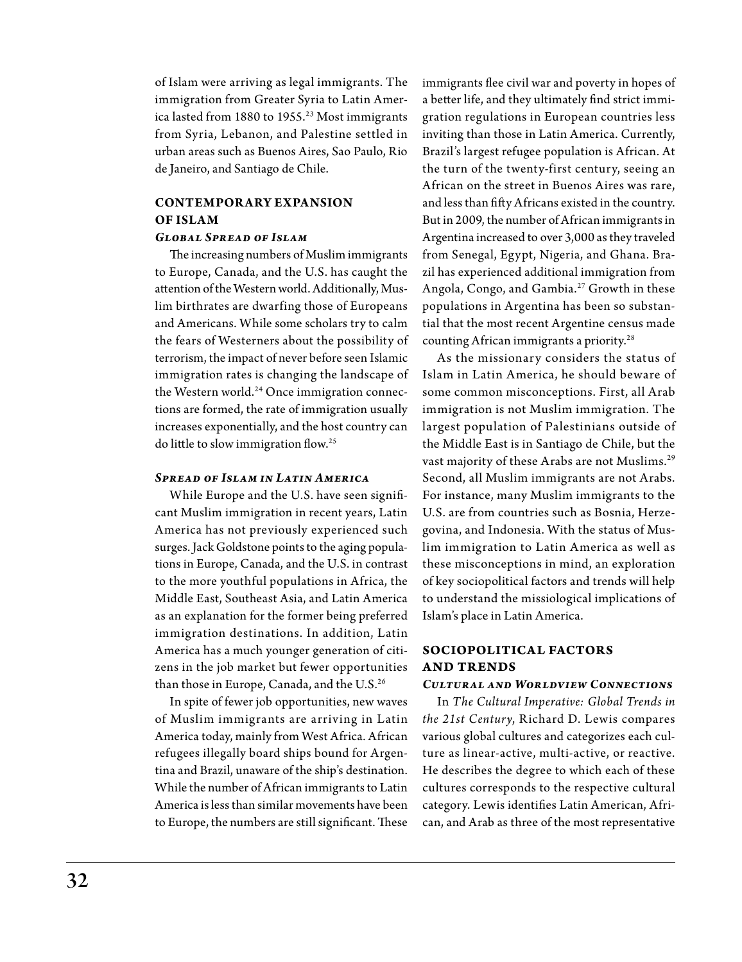of Islam were arriving as legal immigrants. The immigration from Greater Syria to Latin America lasted from 1880 to 1955.<sup>23</sup> Most immigrants from Syria, Lebanon, and Palestine settled in urban areas such as Buenos Aires, Sao Paulo, Rio de Janeiro, and Santiago de Chile.

# **Contemporary Expansion of Islam**

# *Global Spread of Islam*

The increasing numbers of Muslim immigrants to Europe, Canada, and the U.S. has caught the attention of the Western world. Additionally, Muslim birthrates are dwarfing those of Europeans and Americans. While some scholars try to calm the fears of Westerners about the possibility of terrorism, the impact of never before seen Islamic immigration rates is changing the landscape of the Western world.<sup>24</sup> Once immigration connections are formed, the rate of immigration usually increases exponentially, and the host country can do little to slow immigration flow.25

### *Spread of Islam in Latin America*

While Europe and the U.S. have seen significant Muslim immigration in recent years, Latin America has not previously experienced such surges. Jack Goldstone points to the aging populations in Europe, Canada, and the U.S. in contrast to the more youthful populations in Africa, the Middle East, Southeast Asia, and Latin America as an explanation for the former being preferred immigration destinations. In addition, Latin America has a much younger generation of citizens in the job market but fewer opportunities than those in Europe, Canada, and the U.S.<sup>26</sup>

In spite of fewer job opportunities, new waves of Muslim immigrants are arriving in Latin America today, mainly from West Africa. African refugees illegally board ships bound for Argentina and Brazil, unaware of the ship's destination. While the number of African immigrants to Latin America is less than similar movements have been to Europe, the numbers are still significant. These

immigrants flee civil war and poverty in hopes of a better life, and they ultimately find strict immigration regulations in European countries less inviting than those in Latin America. Currently, Brazil's largest refugee population is African. At the turn of the twenty-first century, seeing an African on the street in Buenos Aires was rare, and less than fifty Africans existed in the country. But in 2009, the number of African immigrants in Argentina increased to over 3,000 as they traveled from Senegal, Egypt, Nigeria, and Ghana. Brazil has experienced additional immigration from Angola, Congo, and Gambia.<sup>27</sup> Growth in these populations in Argentina has been so substantial that the most recent Argentine census made counting African immigrants a priority.28

As the missionary considers the status of Islam in Latin America, he should beware of some common misconceptions. First, all Arab immigration is not Muslim immigration. The largest population of Palestinians outside of the Middle East is in Santiago de Chile, but the vast majority of these Arabs are not Muslims.29 Second, all Muslim immigrants are not Arabs. For instance, many Muslim immigrants to the U.S. are from countries such as Bosnia, Herzegovina, and Indonesia. With the status of Muslim immigration to Latin America as well as these misconceptions in mind, an exploration of key sociopolitical factors and trends will help to understand the missiological implications of Islam's place in Latin America.

# **Sociopolitical Factors and Trends**

# *Cultural and Worldview Connections*

In *The Cultural Imperative: Global Trends in the 21st Century*, R ichard D. Lewis compares various global cultures and categorizes each culture as linear-active, multi-active, or reactive. He describes the degree to which each of these cultures corresponds to the respective cultural category. Lewis identifies Latin American, African, and Arab as three of the most representative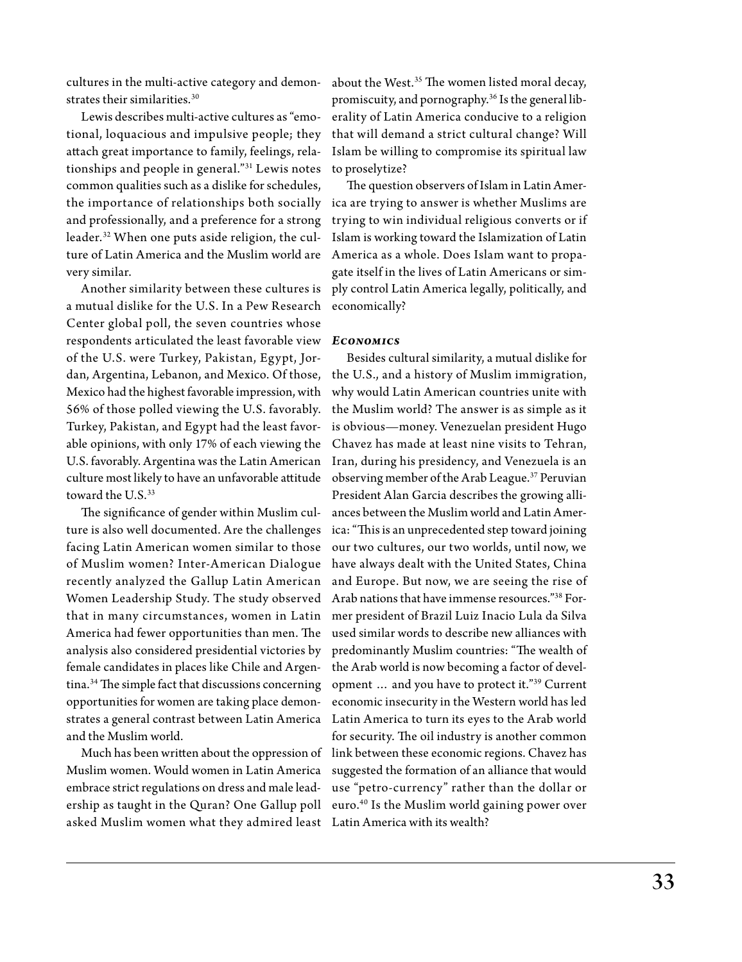cultures in the multi-active category and demonstrates their similarities.<sup>30</sup>

Lewis describes multi-active cultures as "emotional, loquacious and impulsive people; they attach great importance to family, feelings, relationships and people in general."31 Lewis notes common qualities such as a dislike for schedules, the importance of relationships both socially and professionally, and a preference for a strong leader.32 When one puts aside religion, the culture of Latin America and the Muslim world are very similar.

Another similarity between these cultures is a mutual dislike for the U.S. In a Pew Research Center global poll, the seven countries whose respondents articulated the least favorable view *Economics* of the U.S. were Turkey, Pakistan, Egypt, Jordan, Argentina, Lebanon, and Mexico. Of those, Mexico had the highest favorable impression, with 56% of those polled viewing the U.S. favorably. Turkey, Pakistan, and Egypt had the least favorable opinions, with only 17% of each viewing the U.S. favorably. Argentina was the Latin American culture most likely to have an unfavorable attitude toward the U.S.<sup>33</sup>

The significance of gender within Muslim culture is also well documented. Are the challenges facing Latin American women similar to those of Muslim women? Inter-American Dialogue recently analyzed the Gallup Latin American Women Leadership Study. The study observed that in many circumstances, women in Latin America had fewer opportunities than men. The analysis also considered presidential victories by female candidates in places like Chile and Argentina.34 The simple fact that discussions concerning opportunities for women are taking place demonstrates a general contrast between Latin America and the Muslim world.

Muslim women. Would women in Latin America embrace strict regulations on dress and male leadership as taught in the Quran? One Gallup poll asked Muslim women what they admired least Latin America with its wealth?

about the West.<sup>35</sup> The women listed moral decay, promiscuity, and pornography.36 Is the general liberality of Latin America conducive to a religion that will demand a strict cultural change? Will Islam be willing to compromise its spiritual law to proselytize?

The question observers of Islam in Latin America are trying to answer is whether Muslims are trying to win individual religious converts or if Islam is working toward the Islamization of Latin America as a whole. Does Islam want to propagate itself in the lives of Latin Americans or simply control Latin America legally, politically, and economically?

Much has been written about the oppression of link between these economic regions. Chavez has Besides cultural similarity, a mutual dislike for the U.S., and a history of Muslim immigration, why would Latin American countries unite with the Muslim world? The answer is as simple as it is obvious—money. Venezuelan president Hugo Chavez has made at least nine visits to Tehran, Iran, during his presidency, and Venezuela is an observing member of the Arab League.37 Peruvian President Alan Garcia describes the growing alliances between the Muslim world and Latin America: "This is an unprecedented step toward joining our two cultures, our two worlds, until now, we have always dealt with the United States, China and Europe. But now, we are seeing the rise of Arab nations that have immense resources."38 Former president of Brazil Luiz Inacio Lula da Silva used similar words to describe new alliances with predominantly Muslim countries: "The wealth of the Arab world is now becoming a factor of development … and you have to protect it."39 Current economic insecurity in the Western world has led Latin America to turn its eyes to the Arab world for security. The oil industry is another common suggested the formation of an alliance that would use "petro-currency" rather than the dollar or euro.40 Is the Muslim world gaining power over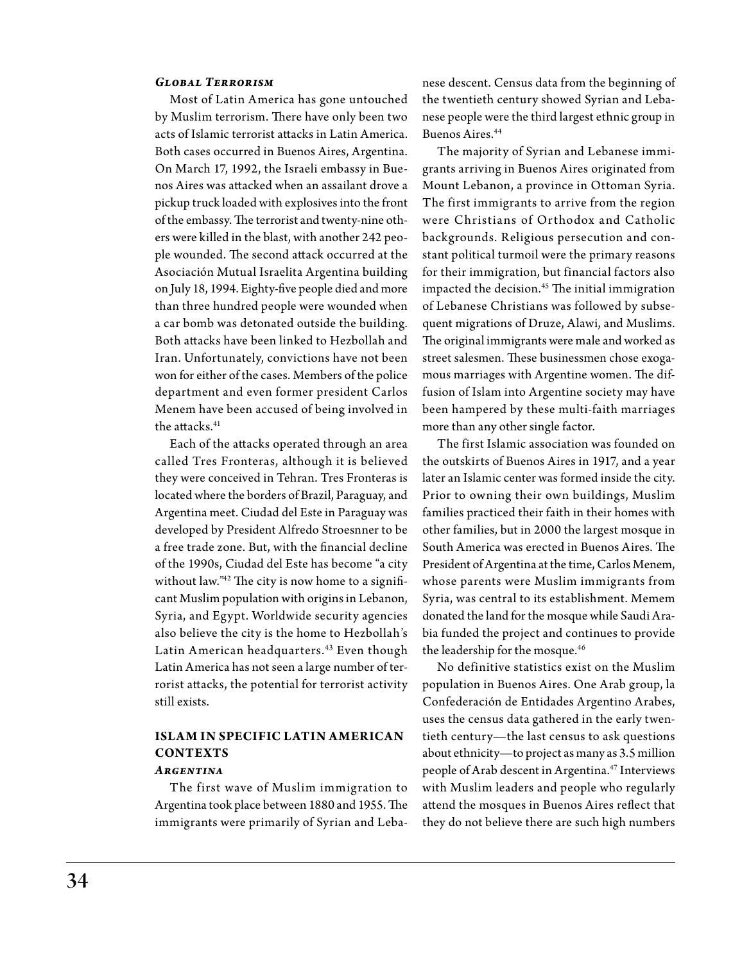## *Global Terrorism*

Most of Latin America has gone untouched by Muslim terrorism. There have only been two acts of Islamic terrorist attacks in Latin America. Both cases occurred in Buenos Aires, Argentina. On March 17, 1992, the Israeli embassy in Buenos Aires was attacked when an assailant drove a pickup truck loaded with explosives into the front of the embassy. The terrorist and twenty-nine others were killed in the blast, with another 242 people wounded. The second attack occurred at the Asociación Mutual Israelita Argentina building on July 18, 1994. Eighty-five people died and more than three hundred people were wounded when a car bomb was detonated outside the building. Both attacks have been linked to Hezbollah and Iran. Unfortunately, convictions have not been won for either of the cases. Members of the police department and even former president Carlos Menem have been accused of being involved in the attacks.<sup>41</sup>

Each of the attacks operated through an area called Tres Fronteras, although it is believed they were conceived in Tehran. Tres Fronteras is located where the borders of Brazil, Paraguay, and Argentina meet. Ciudad del Este in Paraguay was developed by President Alfredo Stroesnner to be a free trade zone. But, with the financial decline of the 1990s, Ciudad del Este has become "a city without law."<sup>42</sup> The city is now home to a significant Muslim population with origins in Lebanon, Syria, and Egypt. Worldwide security agencies also believe the city is the home to Hezbollah's Latin American headquarters.<sup>43</sup> Even though Latin America has not seen a large number of terrorist attacks, the potential for terrorist activity still exists.

# **Islam in Specific Latin American CONTEXTS**

# *Argentina*

The first wave of Muslim immigration to Argentina took place between 1880 and 1955. The immigrants were primarily of Syrian and Leba-

nese descent. Census data from the beginning of the twentieth century showed Syrian and Lebanese people were the third largest ethnic group in Buenos Aires.44

The majority of Syrian and Lebanese immigrants arriving in Buenos Aires originated from Mount Lebanon, a province in Ottoman Syria. The first immigrants to arrive from the region were Christians of Orthodox and Catholic backgrounds. Religious persecution and constant political turmoil were the primary reasons for their immigration, but financial factors also impacted the decision.<sup>45</sup> The initial immigration of Lebanese Christians was followed by subsequent migrations of Druze, Alawi, and Muslims. The original immigrants were male and worked as street salesmen. These businessmen chose exogamous marriages with Argentine women. The diffusion of Islam into Argentine society may have been hampered by these multi-faith marriages more than any other single factor.

The first Islamic association was founded on the outskirts of Buenos Aires in 1917, and a year later an Islamic center was formed inside the city. Prior to owning their own buildings, Muslim families practiced their faith in their homes with other families, but in 2000 the largest mosque in South America was erected in Buenos Aires. The President of Argentina at the time, Carlos Menem, whose parents were Muslim immigrants from Syria, was central to its establishment. Memem donated the land for the mosque while Saudi Arabia funded the project and continues to provide the leadership for the mosque.<sup>46</sup>

No definitive statistics exist on the Muslim population in Buenos Aires. One Arab group, la Confederación de Entidades Argentino Arabes, uses the census data gathered in the early twentieth century—the last census to ask questions about ethnicity—to project as many as 3.5 million people of Arab descent in Argentina.47 Interviews with Muslim leaders and people who regularly attend the mosques in Buenos Aires reflect that they do not believe there are such high numbers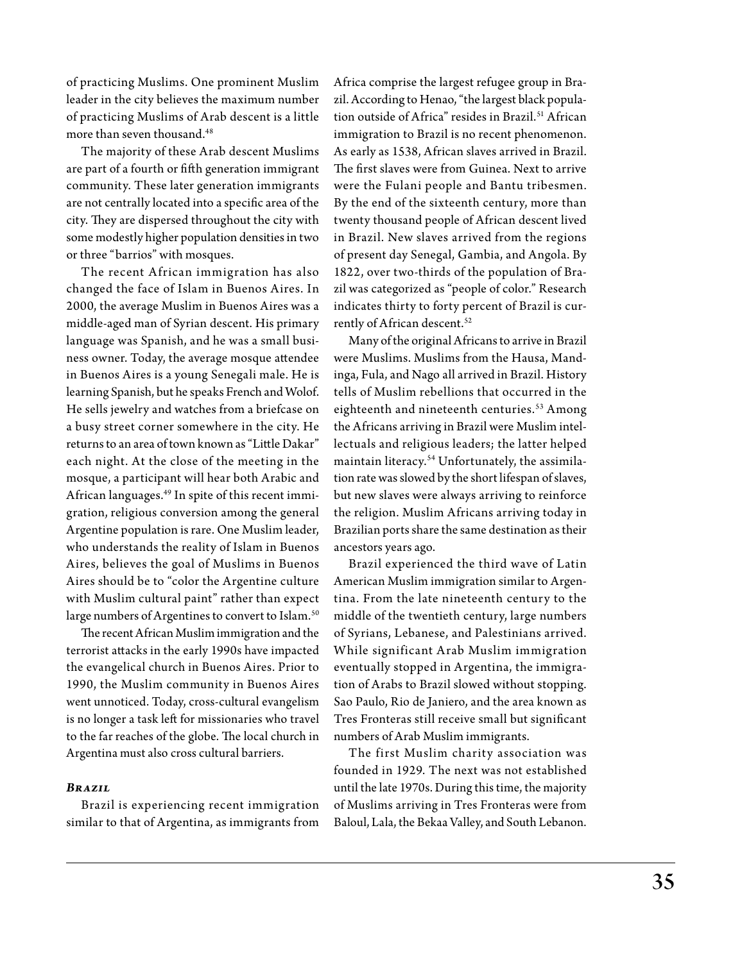of practicing Muslims. One prominent Muslim leader in the city believes the maximum number of practicing Muslims of Arab descent is a little more than seven thousand.48

The majority of these Arab descent Muslims are part of a fourth or fifth generation immigrant community. These later generation immigrants are not centrally located into a specific area of the city. They are dispersed throughout the city with some modestly higher population densities in two or three "barrios" with mosques.

The recent African immigration has also changed the face of Islam in Buenos Aires. In 2000, the average Muslim in Buenos Aires was a middle-aged man of Syrian descent. His primary language was Spanish, and he was a small business owner. Today, the average mosque attendee in Buenos Aires is a young Senegali male. He is learning Spanish, but he speaks French and Wolof. He sells jewelry and watches from a briefcase on a busy street corner somewhere in the city. He returns to an area of town known as "Little Dakar" each night. At the close of the meeting in the mosque, a participant will hear both Arabic and African languages.49 In spite of this recent immigration, religious conversion among the general Argentine population is rare. One Muslim leader, who understands the reality of Islam in Buenos Aires, believes the goal of Muslims in Buenos Aires should be to "color the Argentine culture with Muslim cultural paint" rather than expect large numbers of Argentines to convert to Islam.<sup>50</sup>

The recent African Muslim immigration and the terrorist attacks in the early 1990s have impacted the evangelical church in Buenos Aires. Prior to 1990, the Muslim community in Buenos Aires went unnoticed. Today, cross-cultural evangelism is no longer a task left for missionaries who travel to the far reaches of the globe. The local church in Argentina must also cross cultural barriers.

# *Brazil*

Brazil is experiencing recent immigration similar to that of Argentina, as immigrants from

Africa comprise the largest refugee group in Brazil. According to Henao, "the largest black population outside of Africa" resides in Brazil.<sup>51</sup> African immigration to Brazil is no recent phenomenon. As early as 1538, African slaves arrived in Brazil. The first slaves were from Guinea. Next to arrive were the Fulani people and Bantu tribesmen. By the end of the sixteenth century, more than twenty thousand people of African descent lived in Brazil. New slaves arrived from the regions of present day Senegal, Gambia, and Angola. By 1822, over two-thirds of the population of Brazil was categorized as "people of color." Research indicates thirty to forty percent of Brazil is currently of African descent.<sup>52</sup>

Many of the original Africans to arrive in Brazil were Muslims. Muslims from the Hausa, Mandinga, Fula, and Nago all arrived in Brazil. History tells of Muslim rebellions that occurred in the eighteenth and nineteenth centuries.<sup>53</sup> Among the Africans arriving in Brazil were Muslim intellectuals and religious leaders; the latter helped maintain literacy.54 Unfortunately, the assimilation rate was slowed by the short lifespan of slaves, but new slaves were always arriving to reinforce the religion. Muslim Africans arriving today in Brazilian ports share the same destination as their ancestors years ago.

Brazil experienced the third wave of Latin American Muslim immigration similar to Argentina. From the late nineteenth century to the middle of the twentieth century, large numbers of Syrians, Lebanese, and Palestinians arrived. W hile significant Arab Muslim immigration eventually stopped in Argentina, the immigration of Arabs to Brazil slowed without stopping. Sao Paulo, Rio de Janiero, and the area known as Tres Fronteras still receive small but significant numbers of Arab Muslim immigrants.

The first Muslim charity association was founded in 1929. The next was not established until the late 1970s. During this time, the majority of Muslims arriving in Tres Fronteras were from Baloul, Lala, the Bekaa Valley, and South Lebanon.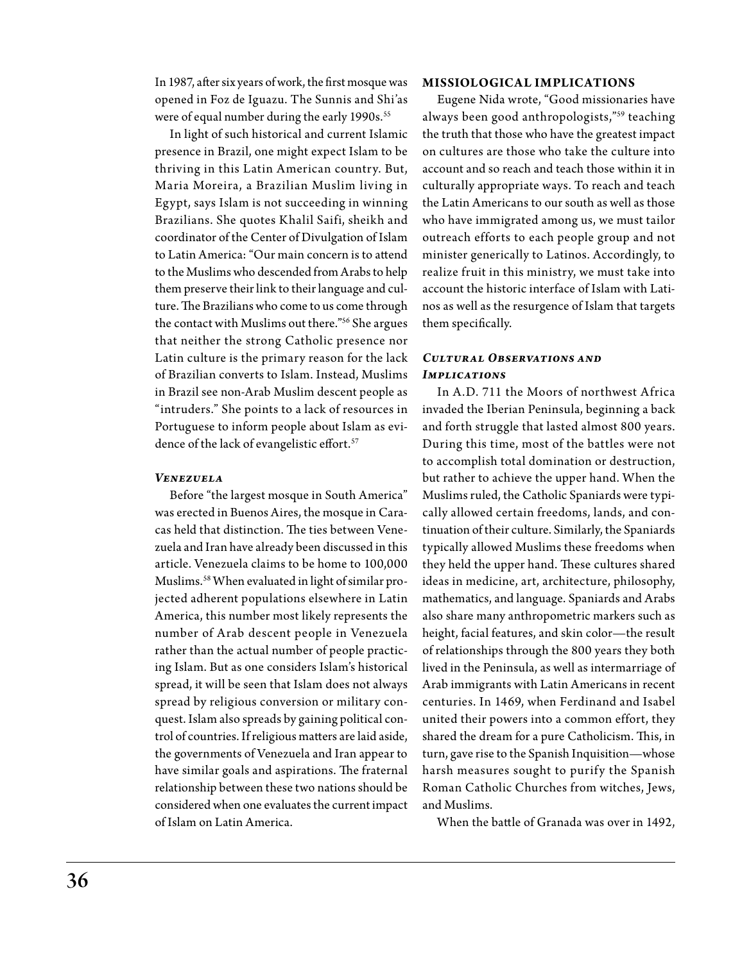In 1987, after six years of work, the first mosque was opened in Foz de Iguazu. The Sunnis and Shi'as were of equal number during the early 1990s.<sup>55</sup>

In light of such historical and current Islamic presence in Brazil, one might expect Islam to be thriving in this Latin American country. But, Maria Moreira, a Brazilian Muslim living in Egypt, says Islam is not succeeding in winning Brazilians. She quotes Khalil Saifi, sheikh and coordinator of the Center of Divulgation of Islam to Latin America: "Our main concern is to attend to the Muslims who descended from Arabs to help them preserve their link to their language and culture. The Brazilians who come to us come through the contact with Muslims out there."56 She argues that neither the strong Catholic presence nor Latin culture is the primary reason for the lack of Brazilian converts to Islam. Instead, Muslims in Brazil see non-Arab Muslim descent people as "intruders." She points to a lack of resources in Portuguese to inform people about Islam as evidence of the lack of evangelistic effort.<sup>57</sup>

# *Venezuela*

Before "the largest mosque in South America" was erected in Buenos Aires, the mosque in Caracas held that distinction. The ties between Venezuela and Iran have already been discussed in this article. Venezuela claims to be home to 100,000 Muslims.58 When evaluated in light of similar projected adherent populations elsewhere in Latin America, this number most likely represents the number of Arab descent people in Venezuela rather than the actual number of people practicing Islam. But as one considers Islam's historical spread, it will be seen that Islam does not always spread by religious conversion or military conquest. Islam also spreads by gaining political control of countries. If religious matters are laid aside, the governments of Venezuela and Iran appear to have similar goals and aspirations. The fraternal relationship between these two nations should be considered when one evaluates the current impact of Islam on Latin America.

#### **Missiological Implications**

Eugene Nida wrote, "Good missionaries have always been good anthropologists,"59 teaching the truth that those who have the greatest impact on cultures are those who take the culture into account and so reach and teach those within it in culturally appropriate ways. To reach and teach the Latin Americans to our south as well as those who have immigrated among us, we must tailor outreach efforts to each people group and not minister generically to Latinos. Accordingly, to realize fruit in this ministry, we must take into account the historic interface of Islam with Latinos as well as the resurgence of Islam that targets them specifically.

# *Cultural Observations and Implications*

In A.D. 711 the Moors of northwest Africa invaded the Iberian Peninsula, beginning a back and forth struggle that lasted almost 800 years. During this time, most of the battles were not to accomplish total domination or destruction, but rather to achieve the upper hand. When the Muslims ruled, the Catholic Spaniards were typically allowed certain freedoms, lands, and continuation of their culture. Similarly, the Spaniards typically allowed Muslims these freedoms when they held the upper hand. These cultures shared ideas in medicine, art, architecture, philosophy, mathematics, and language. Spaniards and Arabs also share many anthropometric markers such as height, facial features, and skin color—the result of relationships through the 800 years they both lived in the Peninsula, as well as intermarriage of Arab immigrants with Latin Americans in recent centuries. In 1469, when Ferdinand and Isabel united their powers into a common effort, they shared the dream for a pure Catholicism. This, in turn, gave rise to the Spanish Inquisition—whose harsh measures sought to purify the Spanish Roman Catholic Churches from witches, Jews, and Muslims.

When the battle of Granada was over in 1492,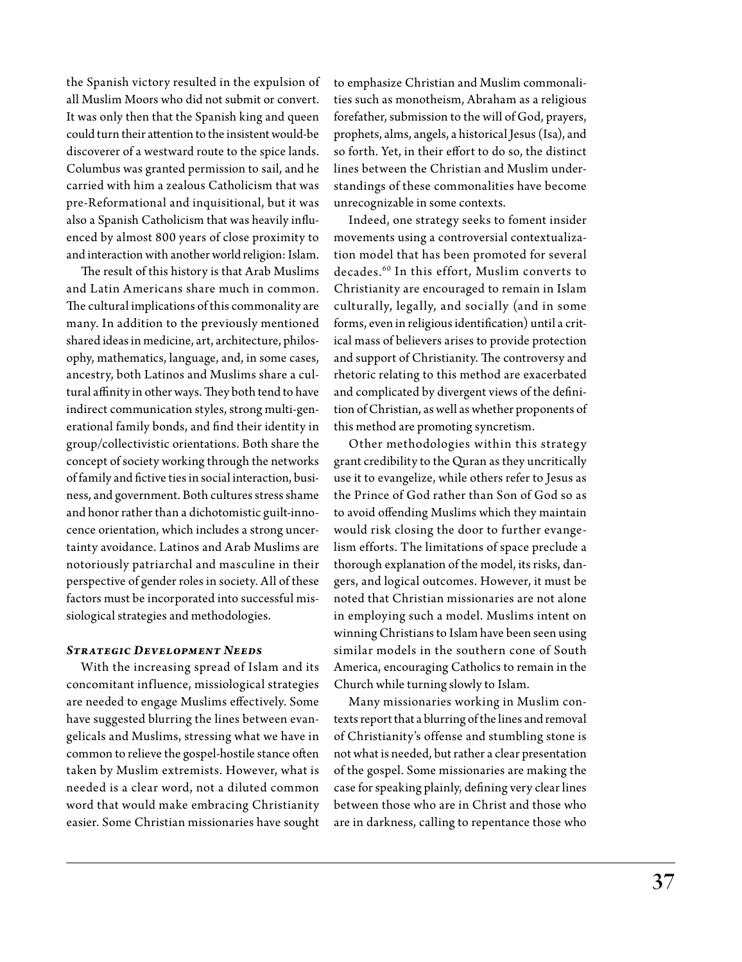the Spanish victory resulted in the expulsion of all Muslim Moors who did not submit or convert. It was only then that the Spanish king and queen could turn their attention to the insistent would-be discoverer of a westward route to the spice lands. Columbus was granted permission to sail, and he carried with him a zealous Catholicism that was pre-Reformational and inquisitional, but it was also a Spanish Catholicism that was heavily influenced by almost 800 years of close proximity to and interaction with another world religion: Islam.

The result of this history is that Arab Muslims and Latin Americans share much in common. The cultural implications of this commonality are many. In addition to the previously mentioned shared ideas in medicine, art, architecture, philosophy, mathematics, language, and, in some cases, ancestry, both Latinos and Muslims share a cultural affinity in other ways. They both tend to have indirect communication styles, strong multi-generational family bonds, and find their identity in group/collectivistic orientations. Both share the concept of society working through the networks of family and fictive ties in social interaction, business, and government. Both cultures stress shame and honor rather than a dichotomistic guilt-innocence orientation, which includes a strong uncertainty avoidance. Latinos and Arab Muslims are notoriously patriarchal and masculine in their perspective of gender roles in society. All of these factors must be incorporated into successful missiological strategies and methodologies.

### *Strategic Development Needs*

With the increasing spread of Islam and its concomitant influence, missiological strategies are needed to engage Muslims effectively. Some have suggested blurring the lines between evangelicals and Muslims, stressing what we have in common to relieve the gospel-hostile stance often taken by Muslim extremists. However, what is needed is a clear word, not a diluted common word that would make embracing Christianity easier. Some Christian missionaries have sought

to emphasize Christian and Muslim commonalities such as monotheism, Abraham as a religious forefather, submission to the will of God, prayers, prophets, alms, angels, a historical Jesus (Isa), and so forth. Yet, in their effort to do so, the distinct lines between the Christian and Muslim understandings of these commonalities have become unrecognizable in some contexts.

Indeed, one strategy seeks to foment insider movements using a controversial contextualization model that has been promoted for several decades.60 In this effort, Muslim converts to Christianity are encouraged to remain in Islam culturally, legally, and socially (and in some forms, even in religious identification) until a critical mass of believers arises to provide protection and support of Christianity. The controversy and rhetoric relating to this method are exacerbated and complicated by divergent views of the definition of Christian, as well as whether proponents of this method are promoting syncretism.

Other methodologies within this strategy grant credibility to the Quran as they uncritically use it to evangelize, while others refer to Jesus as the Prince of God rather than Son of God so as to avoid offending Muslims which they maintain would risk closing the door to further evangelism efforts. The limitations of space preclude a thorough explanation of the model, its risks, dangers, and logical outcomes. However, it must be noted that Christian missionaries are not alone in employing such a model. Muslims intent on winning Christians to Islam have been seen using similar models in the southern cone of South America, encouraging Catholics to remain in the Church while turning slowly to Islam.

Many missionaries working in Muslim contexts report that a blurring of the lines and removal of Christianity's offense and stumbling stone is not what is needed, but rather a clear presentation of the gospel. Some missionaries are making the case for speaking plainly, defining very clear lines between those who are in Christ and those who are in darkness, calling to repentance those who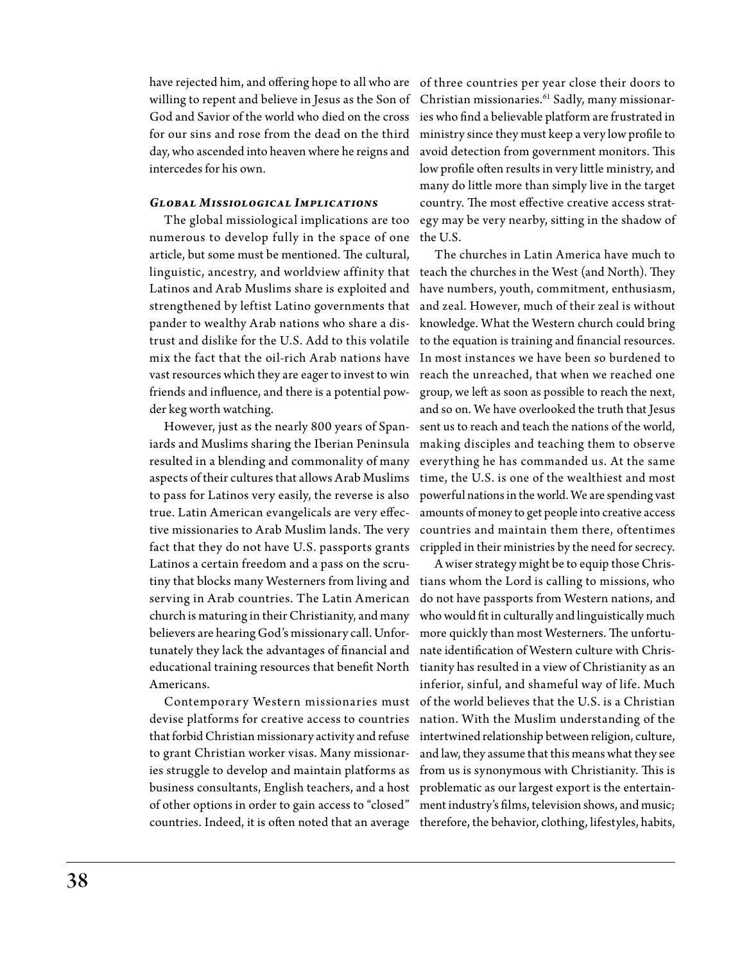have rejected him, and offering hope to all who are of three countries per year close their doors to willing to repent and believe in Jesus as the Son of Christian missionaries.<sup>61</sup> Sadly, many missionar-God and Savior of the world who died on the cross for our sins and rose from the dead on the third day, who ascended into heaven where he reigns and intercedes for his own.

# *Global Missiological Implications*

The global missiological implications are too numerous to develop fully in the space of one the U.S. article, but some must be mentioned. The cultural, linguistic, ancestry, and worldview affinity that teach the churches in the West (and North). They Latinos and Arab Muslims share is exploited and strengthened by leftist Latino governments that pander to wealthy Arab nations who share a distrust and dislike for the U.S. Add to this volatile mix the fact that the oil-rich Arab nations have vast resources which they are eager to invest to win friends and influence, and there is a potential powder keg worth watching.

However, just as the nearly 800 years of Spaniards and Muslims sharing the Iberian Peninsula resulted in a blending and commonality of many aspects of their cultures that allows Arab Muslims to pass for Latinos very easily, the reverse is also true. Latin American evangelicals are very effective missionaries to Arab Muslim lands. The very fact that they do not have U.S. passports grants Latinos a certain freedom and a pass on the scrutiny that blocks many Westerners from living and tians whom the Lord is calling to missions, who serving in Arab countries. The Latin American church is maturing in their Christianity, and many believers are hearing God's missionary call. Unfortunately they lack the advantages of financial and educational training resources that benefit North Americans.

Contemporary Western missionaries must devise platforms for creative access to countries that forbid Christian missionary activity and refuse to grant Christian worker visas. Many missionaries struggle to develop and maintain platforms as business consultants, English teachers, and a host of other options in order to gain access to "closed" countries. Indeed, it is often noted that an average

ies who find a believable platform are frustrated in ministry since they must keep a very low profile to avoid detection from government monitors. This low profile often results in very little ministry, and many do little more than simply live in the target country. The most effective creative access strategy may be very nearby, sitting in the shadow of

The churches in Latin America have much to have numbers, youth, commitment, enthusiasm, and zeal. However, much of their zeal is without knowledge. What the Western church could bring to the equation is training and financial resources. In most instances we have been so burdened to reach the unreached, that when we reached one group, we left as soon as possible to reach the next, and so on. We have overlooked the truth that Jesus sent us to reach and teach the nations of the world, making disciples and teaching them to observe everything he has commanded us. At the same time, the U.S. is one of the wealthiest and most powerful nations in the world. We are spending vast amounts of money to get people into creative access countries and maintain them there, oftentimes crippled in their ministries by the need for secrecy.

A wiser strategy might be to equip those Chrisdo not have passports from Western nations, and who would fit in culturally and linguistically much more quickly than most Westerners. The unfortunate identification of Western culture with Christianity has resulted in a view of Christianity as an inferior, sinful, and shameful way of life. Much of the world believes that the U.S. is a Christian nation. With the Muslim understanding of the intertwined relationship between religion, culture, and law, they assume that this means what they see from us is synonymous with Christianity. This is problematic as our largest export is the entertainment industry's films, television shows, and music; therefore, the behavior, clothing, lifestyles, habits,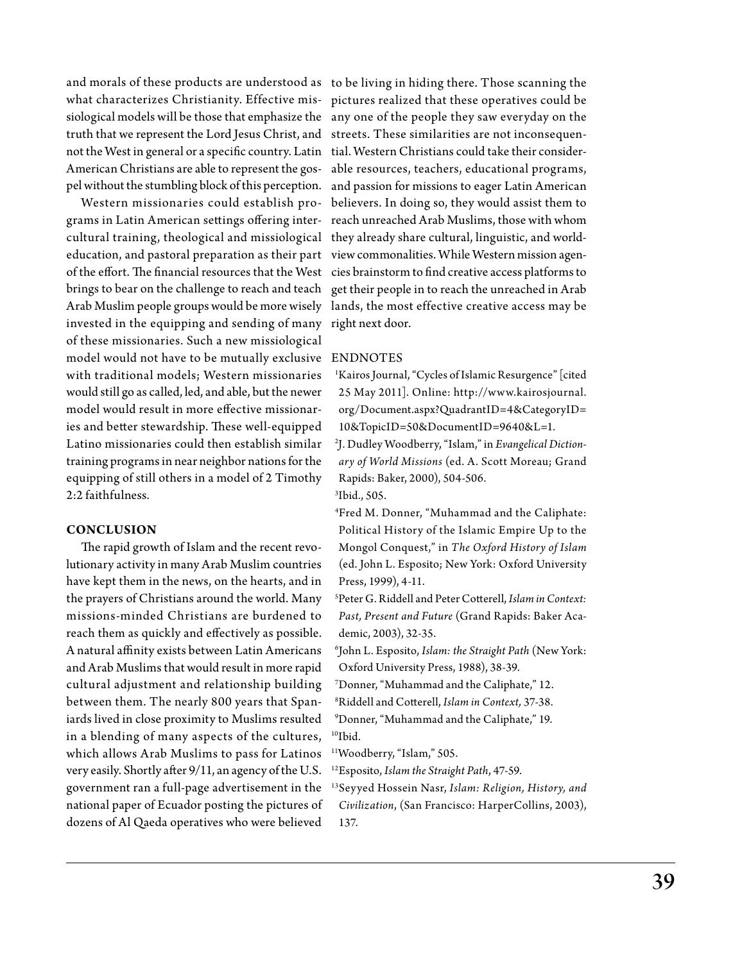and morals of these products are understood as to be living in hiding there. Those scanning the what characterizes Christianity. Effective mis-pictures realized that these operatives could be siological models will be those that emphasize the any one of the people they saw everyday on the truth that we represent the Lord Jesus Christ, and streets. These similarities are not inconsequennot the West in general or a specific country. Latin tial. Western Christians could take their consider-American Christians are able to represent the gos-able resources, teachers, educational programs, pel without the stumbling block of this perception. and passion for missions to eager Latin American

grams in Latin American settings offering inter-reach unreached Arab Muslims, those with whom cultural training, theological and missiological they already share cultural, linguistic, and worldeducation, and pastoral preparation as their part view commonalities. While Western mission agenof the effort. The financial resources that the West cies brainstorm to find creative access platforms to brings to bear on the challenge to reach and teach get their people in to reach the unreached in Arab Arab Muslim people groups would be more wisely lands, the most effective creative access may be invested in the equipping and sending of many right next door. of these missionaries. Such a new missiological model would not have to be mutually exclusive  $\,$  EN  $\,$ with traditional models; Western missionaries would still go as called, led, and able, but the newer model would result in more effective missionaries and better stewardship. These well-equipped Latino missionaries could then establish similar training programs in near neighbor nations for the equipping of still others in a model of 2 Timothy 2:2 faithfulness.

# **Conclusion**

The rapid growth of Islam and the recent revolutionary activity in many Arab Muslim countries have kept them in the news, on the hearts, and in the prayers of Christians around the world. Many missions-minded Christians are burdened to reach them as quickly and effectively as possible. A natural affinity exists between Latin Americans and Arab Muslims that would result in more rapid cultural adjustment and relationship building between them. The nearly 800 years that Spaniards lived in close proximity to Muslims resulted in a blending of many aspects of the cultures, which allows Arab Muslims to pass for Latinos very easily. Shortly after 9/11, an agency of the U.S. government ran a full-page advertisement in the national paper of Ecuador posting the pictures of dozens of Al Qaeda operatives who were believed

Western missionaries could establish pro-believers. In doing so, they would assist them to

<sup>1</sup>Kairos Journal, "Cycles of Islamic Resurgence" [cited 25 May 2011]. Online: http://www.kairosjournal. org/Document.aspx?QuadrantID=4&CategoryID= 10&TopicID=50&DocumentID=9640&L=1.

2 J. Dudley Woodberry, "Islam," in *Evangelical Dictionary of World Missions* (ed. A. Scott Moreau; Grand Rapids: Baker, 2000), 504-506.

3 Ibid., 505.

4 Fred M. Donner, "Muhammad and the Caliphate: Political History of the Islamic Empire Up to the Mongol Conquest," in *The Oxford History of Islam* (ed. John L. Esposito; New York: Oxford University Press, 1999), 4-11.

5 Peter G. Riddell and Peter Cotterell, *Islam in Context: Past, Present and Future* (Grand Rapids: Baker Academic, 2003), 32-35.

6 John L. Esposito, *Islam: the Straight Path* (New York: Oxford University Press, 1988), 38-39.

7 Donner, "Muhammad and the Caliphate," 12.

- 8 Riddell and Cotterell, *Islam in Context,* 37-38.
- 9 Donner, "Muhammad and the Caliphate," 19.  $10$ Ibid.

11Woodberry, "Islam," 505.

12Esposito, *Islam the Straight Path*, 47-59.

13Seyyed Hossein Nasr, *Islam: Religion, History, and Civilization*, (San Francisco: HarperCollins, 2003), 137.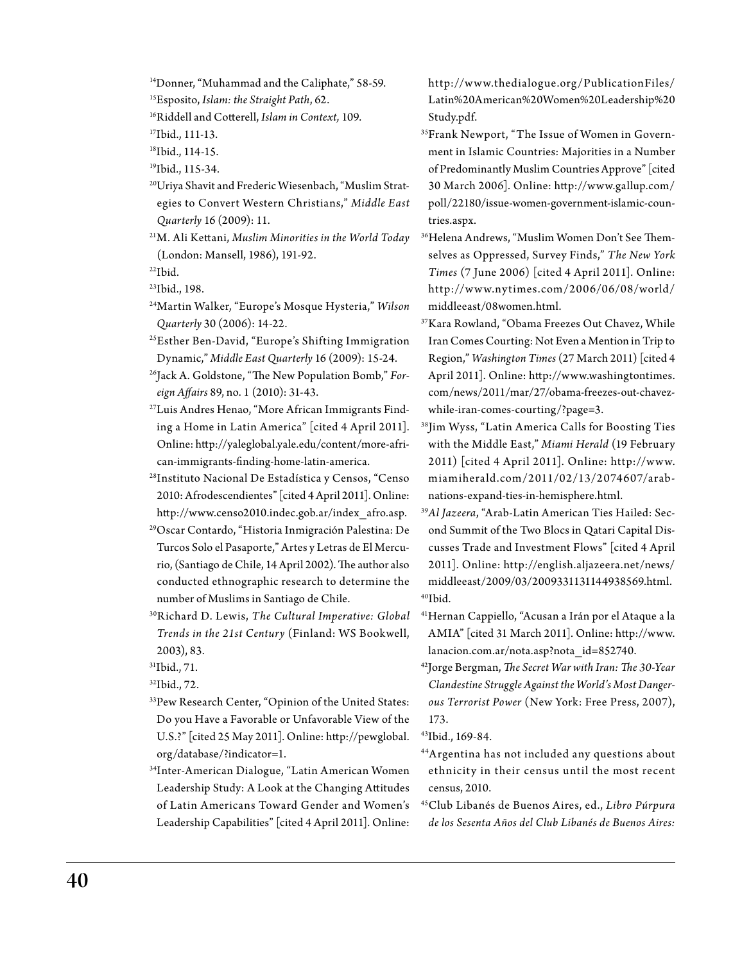14Donner, "Muhammad and the Caliphate," 58-59.

15Esposito, *Islam: the Straight Path*, 62.

16Riddell and Cotterell, *Islam in Context,* 109.

17Ibid., 111-13.

18Ibid., 114-15.

19Ibid., 115-34.

20Uriya Shavit and Frederic Wiesenbach, "Muslim Strategies to Convert Western Christians," *Middle East Quarterly* 16 (2009): 11.

21M. Ali Kettani, *Muslim Minorities in the World Today* (London: Mansell, 1986), 191-92.  $22$ Ibid.

23Ibid., 198.

- 24Martin Walker, "Europe's Mosque Hysteria," *Wilson Quarterly* 30 (2006): 14-22.
- 25Esther Ben-David, "Europe's Shifting Immigration Dynamic," *Middle East Quarterly* 16 (2009): 15-24.
- <sup>26</sup>Jack A. Goldstone, "The New Population Bomb," For*eign Affairs* 89, no. 1 (2010): 31-43.
- 27Luis Andres Henao, "More African Immigrants Finding a Home in Latin America" [cited 4 April 2011]. Online: http://yaleglobal.yale.edu/content/more-african-immigrants-finding-home-latin-america.
- 28Instituto Nacional De Estadística y Censos, "Censo 2010: Afrodescendientes" [cited 4 April 2011]. Online: http://www.censo2010.indec.gob.ar/index\_afro.asp.
- 29Oscar Contardo, "Historia Inmigración Palestina: De Turcos Solo el Pasaporte," Artes y Letras de El Mercurio, (Santiago de Chile, 14 April 2002). The author also conducted ethnographic research to determine the number of Muslims in Santiago de Chile.
- 30R ichard D. Lewis, *The Cultural Imperative: Global Trends in the 21st Century* (Finland: WS Bookwell, 2003), 83.
- 31Ibid., 71.

32Ibid., 72.

- 33Pew Research Center, "Opinion of the United States: Do you Have a Favorable or Unfavorable View of the U.S.?" [cited 25 May 2011]. Online: http://pewglobal. org/database/?indicator=1.
- 34Inter-American Dialogue, "Latin American Women Leadership Study: A Look at the Changing Attitudes of Latin Americans Toward Gender and Women's Leadership Capabilities" [cited 4 April 2011]. Online:

http://w w w.thedialogue.org/PublicationFiles/ Latin%20American%20Women%20Leadership%20 Study.pdf.

- 35Frank Newport, "The Issue of Women in Government in Islamic Countries: Majorities in a Number of Predominantly Muslim Countries Approve" [cited 30 March 2006]. Online: http://www.gallup.com/ poll/22180/issue-women-government-islamic-countries.aspx.
- 36Helena Andrews, "Muslim Women Don't See Themselves as Oppressed, Survey Finds," *The New York Times* (7 June 2006) [cited 4 April 2011]. Online: http://w w w.ny times.com/2006/06/08/world/ middleeast/08women.html.
- 37Kara Rowland, "Obama Freezes Out Chavez, While Iran Comes Courting: Not Even a Mention in Trip to Region," *Washington Times* (27 March 2011) [cited 4 April 2011]. Online: http://www.washingtontimes. com/news/2011/mar/27/obama-freezes-out-chavezwhile-iran-comes-courting/?page=3.
- <sup>38</sup>Jim Wyss, "Latin America Calls for Boosting Ties with the Middle East," *Miami Herald* (19 February 2011) [cited 4 April 2011]. Online:  $http://www.$ miamiherald.com/2011/02/13/2074607/arabnations-expand-ties-in-hemisphere.html.
- 39*Al Jazeera*, "Arab-Latin American Ties Hailed: Second Summit of the Two Blocs in Qatari Capital Discusses Trade and Investment Flows" [cited 4 April 2011]. Online: http://english.aljazeera.net/news/ middleeast/2009/03/2009331131144938569.html. 40Ibid.
- 41Hernan Cappiello, "Acusan a Irán por el Ataque a la AMIA" [cited 31 March 2011]. Online: http://www. lanacion.com.ar/nota.asp?nota\_id=852740.
- 42Jorge Bergman, *The Secret War with Iran: The 30-Year Clandestine Struggle Against the World's Most Dangerous Terrorist Power* (New York: Free Press, 2007), 173.
- 43Ibid., 169-84.
- 4 4Argentina has not included any questions about ethnicity in their census until the most recent census, 2010.
- 45Club Libanés de Buenos Aires, ed., *Libro Púrpura de los Sesenta Años del Club Libanés de Buenos Aires:*